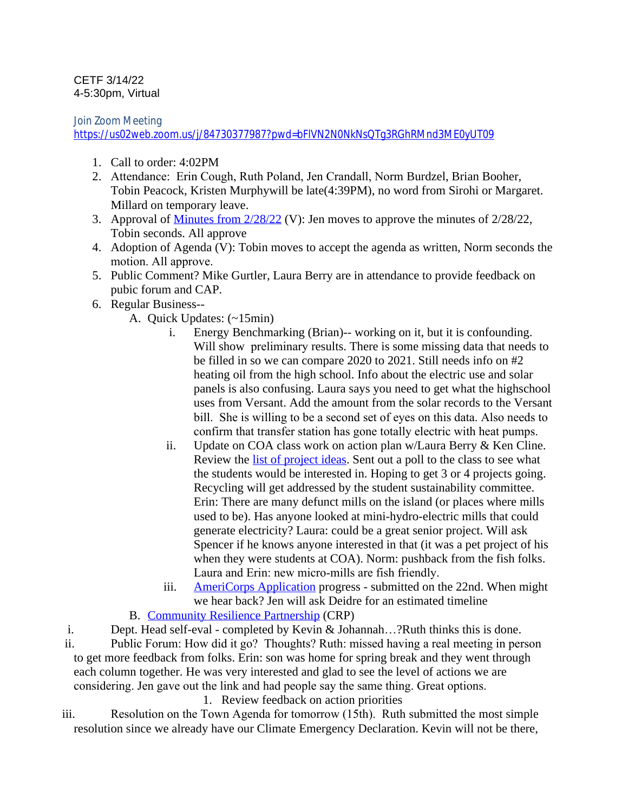## CETF 3/14/22 4-5:30pm, Virtual

Join Zoom Meeting

<https://us02web.zoom.us/j/84730377987?pwd=bFlVN2N0NkNsQTg3RGhRMnd3ME0yUT09>

- 1. Call to order: 4:02PM
- 2. Attendance: Erin Cough, Ruth Poland, Jen Crandall, Norm Burdzel, Brian Booher, Tobin Peacock, Kristen Murphywill be late(4:39PM), no word from Sirohi or Margaret. Millard on temporary leave.
- 3. Approval of [Minutes from 2/28/22](https://docs.google.com/document/d/1ChHhTziZMg4kTNrXPv_hl-pejSS59Rzy5pU99J-uKb0/edit) (V): Jen moves to approve the minutes of 2/28/22, Tobin seconds. All approve
- 4. Adoption of Agenda (V): Tobin moves to accept the agenda as written, Norm seconds the motion. All approve.
- 5. Public Comment? Mike Gurtler, Laura Berry are in attendance to provide feedback on pubic forum and CAP.
- 6. Regular Business--
	- A. Quick Updates: (~15min)
		- i. Energy Benchmarking (Brian)-- working on it, but it is confounding. Will show preliminary results. There is some missing data that needs to be filled in so we can compare 2020 to 2021. Still needs info on #2 heating oil from the high school. Info about the electric use and solar panels is also confusing. Laura says you need to get what the highschool uses from Versant. Add the amount from the solar records to the Versant bill. She is willing to be a second set of eyes on this data. Also needs to confirm that transfer station has gone totally electric with heat pumps.
		- ii. Update on COA class work on action plan w/Laura Berry & Ken Cline. Review the [list of project ideas.](https://docs.google.com/document/d/1nZKWo7zWav6_jhnGce018GBRG-7-fDq4/edit?usp=sharing&ouid=103690711968232176694&rtpof=true&sd=true) Sent out a poll to the class to see what the students would be interested in. Hoping to get 3 or 4 projects going. Recycling will get addressed by the student sustainability committee. Erin: There are many defunct mills on the island (or places where mills used to be). Has anyone looked at mini-hydro-electric mills that could generate electricity? Laura: could be a great senior project. Will ask Spencer if he knows anyone interested in that (it was a pet project of his when they were students at COA). Norm: pushback from the fish folks. Laura and Erin: new micro-mills are fish friendly.
		- iii. [AmeriCorps Application](https://drive.google.com/file/d/1CsQlgx2Ck4QeDaHjBf_l6sGvhGNbvpNe/view?usp=sharing) progress submitted on the 22nd. When might we hear back? Jen will ask Deidre for an estimated timeline

B. [Community Resilience Partnership](https://www.maine.gov/future/climate/community-resilience-partnership) (CRP)

i. Dept. Head self-eval - completed by Kevin & Johannah…?Ruth thinks this is done.

ii. Public Forum: How did it go? Thoughts? Ruth: missed having a real meeting in person to get more feedback from folks. Erin: son was home for spring break and they went through each column together. He was very interested and glad to see the level of actions we are considering. Jen gave out the link and had people say the same thing. Great options.

1. Review feedback on action priorities

iii. Resolution on the Town Agenda for tomorrow (15th). Ruth submitted the most simple resolution since we already have our Climate Emergency Declaration. Kevin will not be there,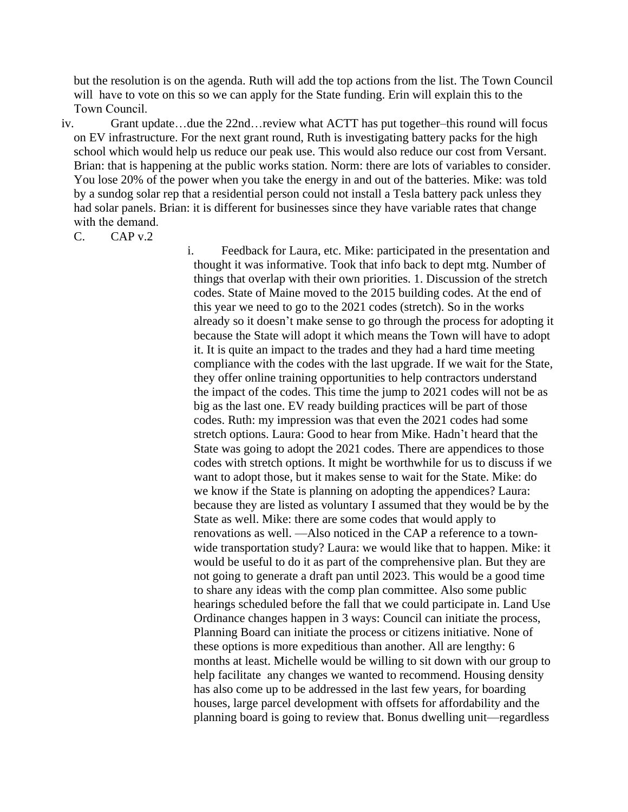but the resolution is on the agenda. Ruth will add the top actions from the list. The Town Council will have to vote on this so we can apply for the State funding. Erin will explain this to the Town Council.

iv. Grant update…due the 22nd…review what ACTT has put together–this round will focus on EV infrastructure. For the next grant round, Ruth is investigating battery packs for the high school which would help us reduce our peak use. This would also reduce our cost from Versant. Brian: that is happening at the public works station. Norm: there are lots of variables to consider. You lose 20% of the power when you take the energy in and out of the batteries. Mike: was told by a sundog solar rep that a residential person could not install a Tesla battery pack unless they had solar panels. Brian: it is different for businesses since they have variable rates that change with the demand.

 $C.$   $CAPv.2$ 

i. Feedback for Laura, etc. Mike: participated in the presentation and thought it was informative. Took that info back to dept mtg. Number of things that overlap with their own priorities. 1. Discussion of the stretch codes. State of Maine moved to the 2015 building codes. At the end of this year we need to go to the 2021 codes (stretch). So in the works already so it doesn't make sense to go through the process for adopting it because the State will adopt it which means the Town will have to adopt it. It is quite an impact to the trades and they had a hard time meeting compliance with the codes with the last upgrade. If we wait for the State, they offer online training opportunities to help contractors understand the impact of the codes. This time the jump to 2021 codes will not be as big as the last one. EV ready building practices will be part of those codes. Ruth: my impression was that even the 2021 codes had some stretch options. Laura: Good to hear from Mike. Hadn't heard that the State was going to adopt the 2021 codes. There are appendices to those codes with stretch options. It might be worthwhile for us to discuss if we want to adopt those, but it makes sense to wait for the State. Mike: do we know if the State is planning on adopting the appendices? Laura: because they are listed as voluntary I assumed that they would be by the State as well. Mike: there are some codes that would apply to renovations as well. —Also noticed in the CAP a reference to a townwide transportation study? Laura: we would like that to happen. Mike: it would be useful to do it as part of the comprehensive plan. But they are not going to generate a draft pan until 2023. This would be a good time to share any ideas with the comp plan committee. Also some public hearings scheduled before the fall that we could participate in. Land Use Ordinance changes happen in 3 ways: Council can initiate the process, Planning Board can initiate the process or citizens initiative. None of these options is more expeditious than another. All are lengthy: 6 months at least. Michelle would be willing to sit down with our group to help facilitate any changes we wanted to recommend. Housing density has also come up to be addressed in the last few years, for boarding houses, large parcel development with offsets for affordability and the planning board is going to review that. Bonus dwelling unit—regardless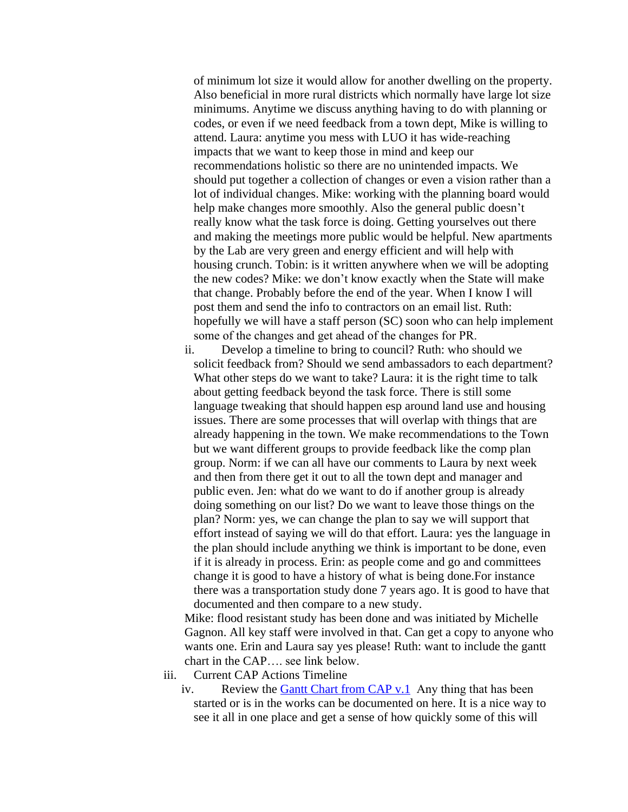of minimum lot size it would allow for another dwelling on the property. Also beneficial in more rural districts which normally have large lot size minimums. Anytime we discuss anything having to do with planning or codes, or even if we need feedback from a town dept, Mike is willing to attend. Laura: anytime you mess with LUO it has wide-reaching impacts that we want to keep those in mind and keep our recommendations holistic so there are no unintended impacts. We should put together a collection of changes or even a vision rather than a lot of individual changes. Mike: working with the planning board would help make changes more smoothly. Also the general public doesn't really know what the task force is doing. Getting yourselves out there and making the meetings more public would be helpful. New apartments by the Lab are very green and energy efficient and will help with housing crunch. Tobin: is it written anywhere when we will be adopting the new codes? Mike: we don't know exactly when the State will make that change. Probably before the end of the year. When I know I will post them and send the info to contractors on an email list. Ruth: hopefully we will have a staff person (SC) soon who can help implement some of the changes and get ahead of the changes for PR.

ii. Develop a timeline to bring to council? Ruth: who should we solicit feedback from? Should we send ambassadors to each department? What other steps do we want to take? Laura: it is the right time to talk about getting feedback beyond the task force. There is still some language tweaking that should happen esp around land use and housing issues. There are some processes that will overlap with things that are already happening in the town. We make recommendations to the Town but we want different groups to provide feedback like the comp plan group. Norm: if we can all have our comments to Laura by next week and then from there get it out to all the town dept and manager and public even. Jen: what do we want to do if another group is already doing something on our list? Do we want to leave those things on the plan? Norm: yes, we can change the plan to say we will support that effort instead of saying we will do that effort. Laura: yes the language in the plan should include anything we think is important to be done, even if it is already in process. Erin: as people come and go and committees change it is good to have a history of what is being done.For instance there was a transportation study done 7 years ago. It is good to have that documented and then compare to a new study.

Mike: flood resistant study has been done and was initiated by Michelle Gagnon. All key staff were involved in that. Can get a copy to anyone who wants one. Erin and Laura say yes please! Ruth: want to include the gantt chart in the CAP…. see link below.

- iii. Current CAP Actions Timeline
	- iv. Review the [Gantt Chart from CAP v.1](https://docs.google.com/spreadsheets/d/1sOLvIAKtnyH2YevFbV1zKGxLTxLfgbM8uP5UIRp0RZw/edit?usp=sharing) Any thing that has been [started or is in the works can be documented on here. It is a nice way to](https://docs.google.com/spreadsheets/d/1sOLvIAKtnyH2YevFbV1zKGxLTxLfgbM8uP5UIRp0RZw/edit?usp=sharing)  [see it all in one place and get a sense of how quickly some of this will](https://docs.google.com/spreadsheets/d/1sOLvIAKtnyH2YevFbV1zKGxLTxLfgbM8uP5UIRp0RZw/edit?usp=sharing)